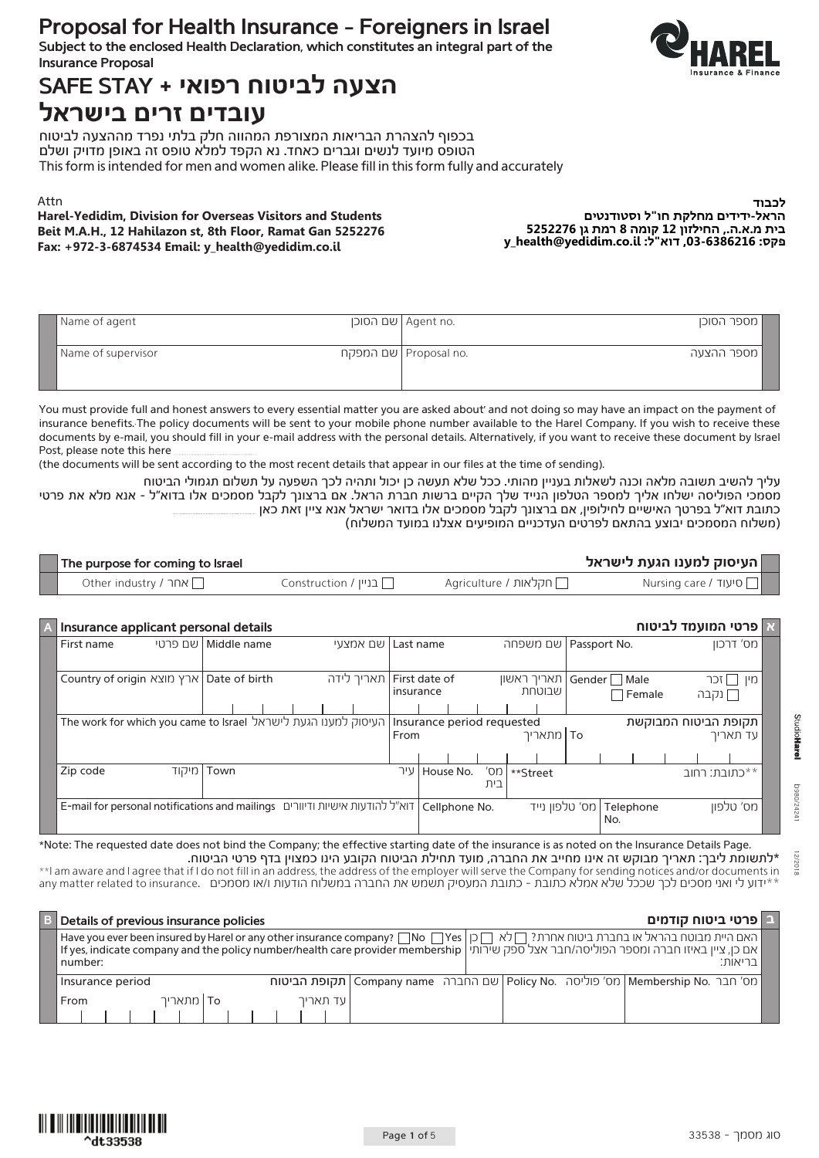## **Proposal for Health Insurance - Foreigners in Israel**

Subject to the enclosed Health Declaration, which constitutes an integral part of the **Insurance Proposal** 

# **הצעה לביטוח רפואי + STAY SAFE עובדים זרים בישראל**

בכפוף להצהרת הבריאות המצורפת המהווה חלק בלתי נפרד מההצעה לביטוח הטופס מיועד לנשים וגברים כאחד. נא הקפד למלא טופס זה באופן מדויק ושלם This form is intended for men and women alike. Please fill in this form fully and accurately

### Attn

**Harel-Yedidim, Division for Overseas Visitors and Students** Beit M.A.H., 12 Hahilazon st, 8th Floor, Ramat Gan 5252276 **Fax: +972-3-6874534 Email: y\_health@yedidim.co.il** 

**לכבוד הראל-ידידים מחלקת חו"ל וסטודנטים בית מ.א.ה,. החילזון 12 קומה 8 רמת גן 5252276 פקס: ,03-6386216 דוא"ל: il.co.yedidim@health\_y** 

| Name of agent      |                         | שם הסוכן   Agent no. | מספר הסוכן   |
|--------------------|-------------------------|----------------------|--------------|
| Name of supervisor | .Proposal no   שם המפקח |                      | ∥ מספר ההצעה |

You must provide full and honest answers to every essential matter you are asked about' and not doing so may have an impact on the payment of insurance benefits. The policy documents will be sent to your mobile phone number available to the Harel Company. If you wish to receive these documents by e-mail, you should fill in your e-mail address with the personal details. Alternatively, if you want to receive these document by Israel Post, please note this here

(the documents will be sent according to the most recent details that appear in our files at the time of sending).

עליך להשיב תשובה מלאה וכנה לשאלות בעניין מהותי. ככל שלא תעשה כן יכול ותהיה לכך השפעה על תשלום תגמולי הביטוח מסמכי הפוליסה ישלחו אליך למספר הטלפון הנייד שלך הקיים ברשות חברת הראל. אם ברצונך לקבל מסמכים אלו בדוא"ל - אנא מלא את פרטי כתובת דוא"ל בפרטך האישיים לחילופין, אם ברצונך לקבל מסמכים אלו בדואר ישראל אנא ציין זאת כאן )משלוח המסמכים יבוצע בהתאם לפרטים העדכניים המופיעים אצלנו במועד המשלוח(

| The purpose for coming to Israel |                             |                        | העיסוק למענו הגעת לישראל ¶               |
|----------------------------------|-----------------------------|------------------------|------------------------------------------|
| Other industry / אחר /           | $\Box$ בניין / Construction | ∩ חקלאות / Agriculture | Nursing care / סיעוד Nursing care $\Box$ |

#### **א פרטי המועמד לביטוח details personal applicant Insurance A** מס' דרכון .No Passport שם משפחה name Last שם אמצעי name Middle שם פרטי name First Country of origin תאריך לידה Date of birth תאריך לידה First date of insurance תאריך ראשון שבוטחת Gender<sup>Male</sup>  $\Box$  Female מין זכר נקבה תקופת הביטוח המבוקשת requested period Insurance העיסוק למענו הגעת לישראל Israel to came you which for work The עד תאריך To מתאריך From מס' .No House עיר Town מיקוד code Zip בית \*\*כתובת: רחוב Street\*\* OD Telephone מס' טלפון נייד .Cellphone No דוא"ל להודעות אישיות ודיוורים (Cellphone Notifications and mailings דוא"ל להודעות אישיות ודיוורים מס' טלפוןN<sub>o</sub>

\*Note: The requested date does not bind the Company; the effective starting date of the insurance is as noted on the Insurance Details Page.

\*לתשומת ליבך: תאריך מבוקש זה אינו מחייב את החברה, מועד תחילת הביטוח הקובע הינו כמצוין בדף פרטי הביטוח.<br>am aware and l agree that if I do not fill in an address, the address of the employer will serve the Company for sendi \*\*ידוע לי ואני מסכים לכך שככל שלא אמלא כתובת - כתובת המעסיק תשמש את החברה במשלוח הודעות ו/או מסמכים . insurance matter related to insurance.

| Details of previous insurance policies                                                                                                                                                                                                                                                                                                                |            |  |  | ⊆∥ פרטי ביטוח קודמים                                                                               |
|-------------------------------------------------------------------------------------------------------------------------------------------------------------------------------------------------------------------------------------------------------------------------------------------------------------------------------------------------------|------------|--|--|----------------------------------------------------------------------------------------------------|
| האם היית מבוטח בהראל או בחברת ביטוח אחרת? [□ לא [□ [ˈdave you ever been insured by Harel or any other insurance company? [] No [<br>  אם כן, ציין באיזו חברה ומספר הפוליסה/חבר אצל ספק שירותי   If yes, indicate company and the policy number/health care provider membership     אם כן, ציין באיזו חברה ומספר הפוליסה/חבר אצל ספק שירותי<br>number: |            |  |  | בריאות:                                                                                            |
| Insurance period                                                                                                                                                                                                                                                                                                                                      |            |  |  | On   Membership No. סובר ה Policy No.   סוס   Membership No.   מס' חבר Company name   תקופת הביטוח |
| חתאריך <b>T</b> o<br>From                                                                                                                                                                                                                                                                                                                             | ן עד תאריר |  |  |                                                                                                    |







12/2018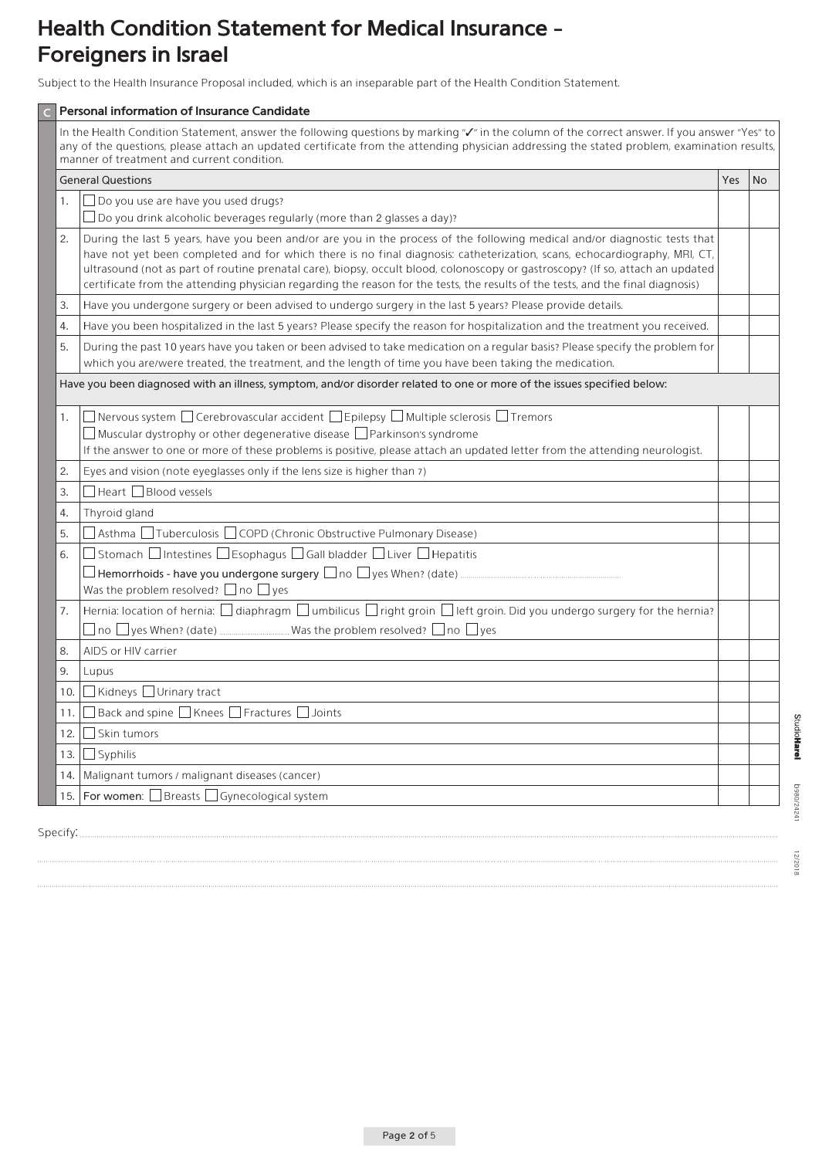# **Health Condition Statement for Medical Insurance -Foreigners in Israel**

Subject to the Health Insurance Proposal included, which is an inseparable part of the Health Condition Statement.

|                          |                                                  | <b>Personal information of Insurance Candidate</b>                                                                                                                                                                                                                                                                                                                                                                                                                                                                           |  |           |  |  |
|--------------------------|--------------------------------------------------|------------------------------------------------------------------------------------------------------------------------------------------------------------------------------------------------------------------------------------------------------------------------------------------------------------------------------------------------------------------------------------------------------------------------------------------------------------------------------------------------------------------------------|--|-----------|--|--|
|                          |                                                  | In the Health Condition Statement, answer the following questions by marking "/" in the column of the correct answer. If you answer "Yes" to<br>any of the questions, please attach an updated certificate from the attending physician addressing the stated problem, examination results,<br>manner of treatment and current condition.                                                                                                                                                                                    |  |           |  |  |
| <b>General Questions</b> |                                                  |                                                                                                                                                                                                                                                                                                                                                                                                                                                                                                                              |  | <b>No</b> |  |  |
|                          | $\Box$ Do you use are have you used drugs?<br>1. |                                                                                                                                                                                                                                                                                                                                                                                                                                                                                                                              |  |           |  |  |
|                          |                                                  | $\Box$ Do you drink alcoholic beverages regularly (more than 2 glasses a day)?                                                                                                                                                                                                                                                                                                                                                                                                                                               |  |           |  |  |
|                          | 2.                                               | During the last 5 years, have you been and/or are you in the process of the following medical and/or diagnostic tests that<br>have not yet been completed and for which there is no final diagnosis: catheterization, scans, echocardiography, MRI, CT,<br>ultrasound (not as part of routine prenatal care), biopsy, occult blood, colonoscopy or gastroscopy? (If so, attach an updated<br>certificate from the attending physician regarding the reason for the tests, the results of the tests, and the final diagnosis) |  |           |  |  |
|                          | 3.                                               | Have you undergone surgery or been advised to undergo surgery in the last 5 years? Please provide details.                                                                                                                                                                                                                                                                                                                                                                                                                   |  |           |  |  |
|                          | 4.                                               | Have you been hospitalized in the last 5 years? Please specify the reason for hospitalization and the treatment you received.                                                                                                                                                                                                                                                                                                                                                                                                |  |           |  |  |
|                          | 5.                                               | During the past 10 years have you taken or been advised to take medication on a regular basis? Please specify the problem for<br>which you are/were treated, the treatment, and the length of time you have been taking the medication.                                                                                                                                                                                                                                                                                      |  |           |  |  |
|                          |                                                  | Have you been diagnosed with an illness, symptom, and/or disorder related to one or more of the issues specified below:                                                                                                                                                                                                                                                                                                                                                                                                      |  |           |  |  |
|                          | 1.                                               | $\Box$ Nervous system $\Box$ Cerebrovascular accident $\Box$ Epilepsy $\Box$ Multiple sclerosis $\Box$ Tremors<br>$\square$ Muscular dystrophy or other degenerative disease $\square$ Parkinson's syndrome<br>If the answer to one or more of these problems is positive, please attach an updated letter from the attending neurologist.                                                                                                                                                                                   |  |           |  |  |
|                          | 2.                                               | Eyes and vision (note eyeglasses only if the lens size is higher than 7)                                                                                                                                                                                                                                                                                                                                                                                                                                                     |  |           |  |  |
|                          | 3.                                               | $\Box$ Heart $\Box$ Blood vessels                                                                                                                                                                                                                                                                                                                                                                                                                                                                                            |  |           |  |  |
|                          | 4.                                               | Thyroid gland                                                                                                                                                                                                                                                                                                                                                                                                                                                                                                                |  |           |  |  |
|                          | 5.                                               | □ Asthma □ Tuberculosis □ COPD (Chronic Obstructive Pulmonary Disease)                                                                                                                                                                                                                                                                                                                                                                                                                                                       |  |           |  |  |
|                          | 6.                                               | □ Stomach □ Intestines □ Esophagus □ Gall bladder □ Liver □ Hepatitis                                                                                                                                                                                                                                                                                                                                                                                                                                                        |  |           |  |  |
|                          |                                                  | $\Box$ Hemorrhoids - have you undergone surgery $\Box$ no $\Box$ yes When? (date) ……………………………………………………………<br>Was the problem resolved? $\Box$ no $\Box$ yes                                                                                                                                                                                                                                                                                                                                                                  |  |           |  |  |
|                          | 7.                                               | Hernia: location of hernia: □ diaphragm □ umbilicus □ right groin □ left groin. Did you undergo surgery for the hernia?                                                                                                                                                                                                                                                                                                                                                                                                      |  |           |  |  |
|                          |                                                  |                                                                                                                                                                                                                                                                                                                                                                                                                                                                                                                              |  |           |  |  |
|                          | 8.                                               | AIDS or HIV carrier                                                                                                                                                                                                                                                                                                                                                                                                                                                                                                          |  |           |  |  |
|                          | 9.                                               | Lupus                                                                                                                                                                                                                                                                                                                                                                                                                                                                                                                        |  |           |  |  |
|                          | 10.                                              | $\Box$ Kidneys $\Box$ Urinary tract                                                                                                                                                                                                                                                                                                                                                                                                                                                                                          |  |           |  |  |
|                          |                                                  | 11. Back and spine ■ Knees ■ Fractures ■ Joints                                                                                                                                                                                                                                                                                                                                                                                                                                                                              |  |           |  |  |
|                          | 12.                                              | Skin tumors                                                                                                                                                                                                                                                                                                                                                                                                                                                                                                                  |  |           |  |  |
|                          | 13.                                              | $\Box$ Syphilis                                                                                                                                                                                                                                                                                                                                                                                                                                                                                                              |  |           |  |  |
|                          |                                                  | 14. Malignant tumors / malignant diseases (cancer)                                                                                                                                                                                                                                                                                                                                                                                                                                                                           |  |           |  |  |
|                          | 15.                                              | For women: $\Box$ Breasts $\Box$ Gynecological system                                                                                                                                                                                                                                                                                                                                                                                                                                                                        |  |           |  |  |
|                          |                                                  |                                                                                                                                                                                                                                                                                                                                                                                                                                                                                                                              |  |           |  |  |

:Specify

.,

12/2018

. . . . .

l,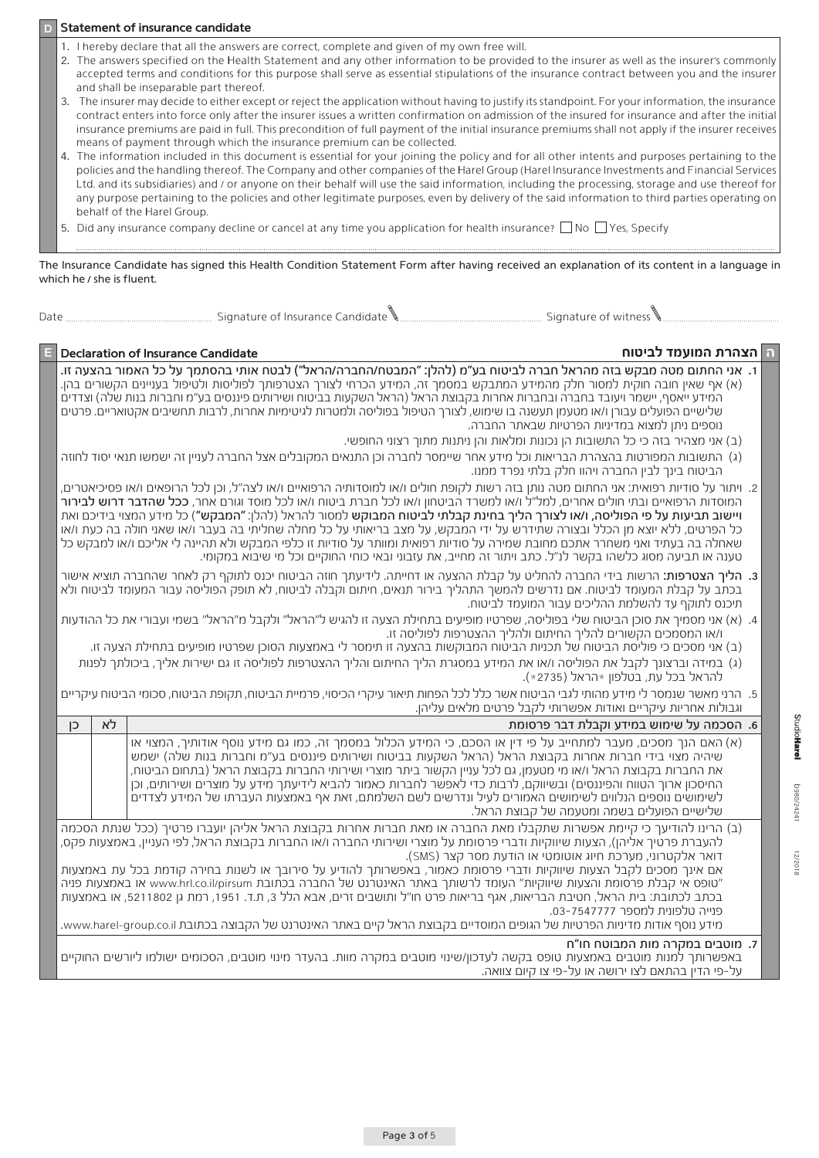#### **statement of insurance candidate**

 $\overline{a}$ 

- 1. I hereby declare that all the answers are correct, complete and given of my own free will.
- 2. The answers specified on the Health Statement and any other information to be provided to the insurer as well as the insurer's commonly accepted terms and conditions for this purpose shall serve as essential stipulations of the insurance contract between you and the insurer and shall be inseparable part thereof.
- 3. The insurer may decide to either except or reject the application without having to justify its standpoint. For your information, the insurance contract enters into force only after the insurer issues a written confirmation on admission of the insured for insurance and after the initial insurance premiums are paid in full. This precondition of full payment of the initial insurance premiums shall not apply if the insurer receives means of payment through which the insurance premium can be collected.
- 4. The information included in this document is essential for your joining the policy and for all other intents and purposes pertaining to the policies and the handling thereof. The Company and other companies of the Harel Group (Harel Insurance Investments and Financial Services Ltd. and its subsidiaries) and / or anyone on their behalf will use the said information, including the processing, storage and use thereof for any purpose pertaining to the policies and other legitimate purposes, even by delivery of the said information to third parties operating on behalf of the Harel Group.
- 5. Did any insurance company decline or cancel at any time you application for health insurance?  $\Box$  No  $\Box$  Yes, Specify

The Insurance Candidate has signed this Health Condition Statement Form after having received an explanation of its content in a language in which he / she is fluent.

| Date                                                                                                                                                                                                                                                                                                                                                                                                                                                                                                | Signature of Insurance Candidate Manumin and Communicate of witness                                                                                                                                                                                                                                                                                                                                                                                                                                                                                                                                                                                                                                                                                          |                                                                                                          |  |  |
|-----------------------------------------------------------------------------------------------------------------------------------------------------------------------------------------------------------------------------------------------------------------------------------------------------------------------------------------------------------------------------------------------------------------------------------------------------------------------------------------------------|--------------------------------------------------------------------------------------------------------------------------------------------------------------------------------------------------------------------------------------------------------------------------------------------------------------------------------------------------------------------------------------------------------------------------------------------------------------------------------------------------------------------------------------------------------------------------------------------------------------------------------------------------------------------------------------------------------------------------------------------------------------|----------------------------------------------------------------------------------------------------------|--|--|
|                                                                                                                                                                                                                                                                                                                                                                                                                                                                                                     | <b>Declaration of Insurance Candidate</b>                                                                                                                                                                                                                                                                                                                                                                                                                                                                                                                                                                                                                                                                                                                    | הצהרת המועמד לביטוח                                                                                      |  |  |
|                                                                                                                                                                                                                                                                                                                                                                                                                                                                                                     | 1. אני החתום מטה מבקש בזה מהראל חברה לביטוח בע״מ (להלן: ״המבטח/החברה/הראל״) לבטח אותי בהסתמך על כל האמור בהצעה זו.<br>(א) אף שאין חובה חוקית למסור חלק מהמידע המתבקש במסמך זה, המידע הכרחי לצורך הצטרפותך לפוליסות ולטיפול בעניינים הקשורים בהן.<br>המידע ייאסף, יישמר ויעובד בחברה ובחברות אחרות בקבוצת הראל (הראל השקעות בביטוח ושירותים פיננסים בע״מ וחברות בנות שלה) וצדדים<br>שלישיים הפועלים עבורן ו/או מטעמן תעשנה בו שימוש, לצורך הטיפול בפוליסה ולמטרות לגיטימיות אחרות, לרבות תחשיבים אקטואריים. פרטים                                                                                                                                                                                                                                             | נוספים ניתן למצוא במדיניות הפרטיות שבאתר החברה.                                                          |  |  |
|                                                                                                                                                                                                                                                                                                                                                                                                                                                                                                     | (ב) אני מצהיר בזה כי כל התשובות הן נכונות ומלאות והן ניתנות מתוך רצוני החופשי.<br>(ג) התשובות המפורטות בהצהרת הבריאות וכל מידע אחר שיימסר לחברה וכן התנאים המקובלים אצל החברה לעניין זה ישמשו תנאי יסוד לחוזה<br>הביטוח בינך לבין החברה ויהוו חלק בלתי נפרד ממנו.                                                                                                                                                                                                                                                                                                                                                                                                                                                                                            |                                                                                                          |  |  |
|                                                                                                                                                                                                                                                                                                                                                                                                                                                                                                     | 2. ויתור על סודיות רפואית: אני החתום מטה נותן בזה רשות לקופת חולים ו/או למוסדותיה הרפואיים ו/או לצה״ל, וכן לכל הרופאים ו/או פסיכיאטרים,<br>המוסדות הרפואיים ובתי חולים אחרים, למל״ל ו/או למשרד הביטחון ו/או לכל חברת ביטוח ו/או לכל מוסד וגורם אחר, <b>ככל שהדבר דרוש לבירור</b><br>ויישוב תביעות על פי הפוליסה, ו/או לצורך הליך בחינת קבלתי לביטוח המבוקש למסור להראל (להלן: "המבקש") כל מידע המצוי בידיכם ואת<br>כל הפרטים, ללא יוצא מן הכלל ובצורה שתידרש על ידי המבקש, על מצב בריאותי על כל מחלה שחליתי בה בעבר ו/או שאני חולה בה כעת ו/או<br>שאחלה בה בעתיד ואני משחרר אתכם מחובת שמירה על סודיות רפואית ומוותר על סודיות זו כלפי המבקש ולא תהיינה לי אליכם ו/או למבקש כל                                                                               | טענה או תביעה מסוג כלשהו בקשר לנ״ל. כתב ויתור זה מחייב, את עזבוני ובאי כוחי החוקיים וכל מי שיבוא במקומי. |  |  |
|                                                                                                                                                                                                                                                                                                                                                                                                                                                                                                     | 3. הליך הצטרפות: הרשות בידי החברה להחליט על קבלת ההצעה או דחייתה. לידיעתך חוזה הביטוח יכנס לתוקף רק לאחר שהחברה תוציא אישור<br>בכתב על קבלת המעומד לביטוח. אם נדרשים להמשך התהליך בירור תנאים, חיתום וקבלה לביטוח, לא תופק הפוליסה עבור המעומד לביטוח ולא                                                                                                                                                                                                                                                                                                                                                                                                                                                                                                    | תיכנס לתוקף עד להשלמת ההליכים עבור המועמד לביטוח.                                                        |  |  |
| 4. (א) אני מסמיך את סוכן הביטוח שלי בפוליסה, שפרטיו מופיעים בתחילת הצעה זו להגיש ל״הראל״ ולקבל מ״הראל״ בשמי ועבורי את כל ההודעות  <br>ו/או המסמכים הקשורים להליך החיתום ולהליך ההצטרפות לפוליסה זו.<br>(ב) אני מסכים כי פוליסת הביטוח של תכניות הביטוח המבוקשות בהצעה זו תימסר לי באמצעות הסוכן שפרטיו מופיעים בתחילת הצעה זו.<br>(ג) במידה וברצונך לקבל את הפוליסה ו/או את המידע במסגרת הליך החיתום והליך ההצטרפות לפוליסה זו גם ישירות אליך, ביכולתך לפנות<br>להראל בכל עת, בטלפון ∗הראל (2735∗). |                                                                                                                                                                                                                                                                                                                                                                                                                                                                                                                                                                                                                                                                                                                                                              |                                                                                                          |  |  |
|                                                                                                                                                                                                                                                                                                                                                                                                                                                                                                     | 5. הרני מאשר שנמסר לי מידע מהותי לגבי הביטוח אשר כלל לכל הפחות תיאור עיקרי הכיסוי, פרמיית הביטוח, תקופת הביטוח, סכומי הביטוח עיקריים                                                                                                                                                                                                                                                                                                                                                                                                                                                                                                                                                                                                                         | וגבולות אחריות עיקריים ואודות אפשרותי לקבל פרטים מלאים עליהן.                                            |  |  |
| לא<br><b>CI</b>                                                                                                                                                                                                                                                                                                                                                                                                                                                                                     |                                                                                                                                                                                                                                                                                                                                                                                                                                                                                                                                                                                                                                                                                                                                                              | 6. הסכמה על שימוש במידע וקבלת דבר פרסומת                                                                 |  |  |
|                                                                                                                                                                                                                                                                                                                                                                                                                                                                                                     | (א) האם הנך מסכים, מעבר למתחייב על פי דין או הסכם, כי המידע הכלול במסמך זה, כמו גם מידע נוסף אודותיך, המצוי או<br>שיהיה מצוי בידי חברות אחרות בקבוצת הראל (הראל השקעות בביטוח ושירותים פיננסים בע״מ וחברות בנות שלה) ישמש<br>את החברות בקבוצת הראל ו/או מי מטעמן, גם לכל עניין הקשור ביתר מוצרי ושירותי החברות בקבוצת הראל (בתחום הביטוח,<br>החיסכון ארוך הטווח והפיננסים) ובשיווקם, לרבות כדי לאפשר לחברות כאמור להביא לידיעתך מידע על מוצרים ושירותים, וכן<br>לשימושים נוספים הנלווים לשימושים האמורים לעיל ונדרשים לשם השלמתם, זאת אף באמצעות העברתו של המידע לצדדים                                                                                                                                                                                      | שלישיים הפועלים בשמה ומטעמה של קבוצת הראל.                                                               |  |  |
|                                                                                                                                                                                                                                                                                                                                                                                                                                                                                                     | (ב) הרינו להודיעך כי קיימת אפשרות שתקבלו מאת החברה או מאת חברות אחרות בקבוצת הראל אליהן יועברו פרטיך (ככל שנתת הסכמה<br>להעברת פרטיך אליהן), הצעות שיווקיות ודברי פרסומת על מוצרי ושירותי החברה ו/או החברות בקבוצת הראל, לפי העניין, באמצעות פקס,<br>אם אינך מסכים לקבל הצעות שיווקיות ודברי פרסומת כאמור, באפשרותך להודיע על סירובך או לשנות בחירה קודמת בכל עת באמצעות<br>״טופס אי קבלת פרסומת והצעות שיווקיות״ העומד לרשותך באתר האינטרנט של החברה בכתובת www.nrl.co.il/pirsum או באמצעות פניה<br>בכתב לכתובת: בית הראל, חטיבת הבריאות, אגף בריאות פרט חו״ל ותושבים זרים, אבא הלל 3, ת.ד. 1951, רמת גן 5211802, או באמצעות<br>מידע נוסף אודות מדיניות הפרטיות של הגופים המוסדיים בקבוצת הראל קיים באתר האינטרנט של הקבוצה בכתובת וו.www.harel-group.co.i. | דואר אלקטרוני, מערכת חיוג אוטומטי או הודעת מסר קצר (SMS).<br>פנייה טלפונית למספר 7547777.                |  |  |
|                                                                                                                                                                                                                                                                                                                                                                                                                                                                                                     | באפשרותך למנות מוטבים באמצעות טופס בקשה לעדכון/שינוי מוטבים במקרה מוות. בהעדר מינוי מוטבים, הסכומים ישולמו ליורשים החוקיים                                                                                                                                                                                                                                                                                                                                                                                                                                                                                                                                                                                                                                   | 7. מוטבים במקרה מות המבוטח חו"ח<br>על-פי הדין בהתאם לצו ירושה או על-פי צו קיום צוואה.                    |  |  |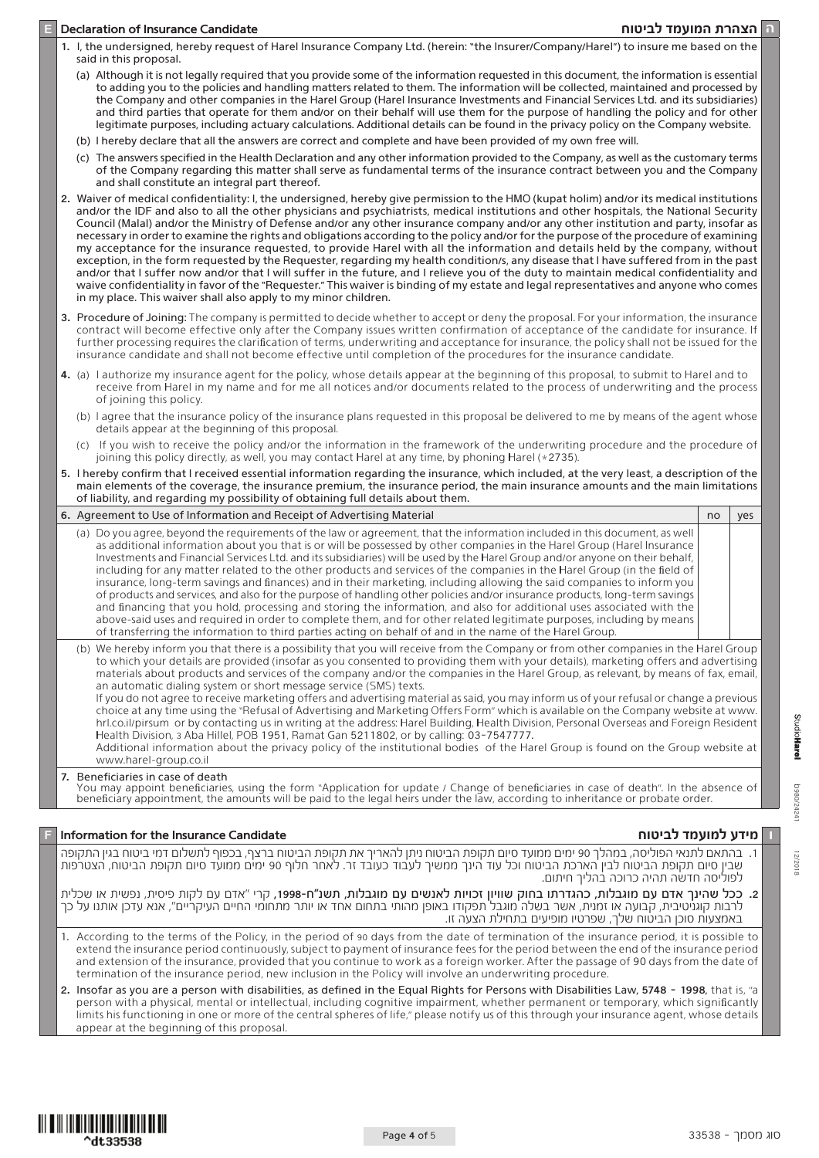### **ה הצהרת המועמד לביטוח Candidate Insurance of Declaration E**

- 1. I, the undersigned, hereby request of Harel Insurance Company Ltd. (herein: "the Insurer/Company/Harel") to insure me based on the said in this proposal.
	- (a) Although it is not legally required that you provide some of the information requested in this document, the information is essential to adding you to the policies and handling matters related to them. The information will be collected, maintained and processed by the Company and other companies in the Harel Group (Harel Insurance Investments and Financial Services Ltd. and its subsidiaries) and third parties that operate for them and/or on their behalf will use them for the purpose of handling the policy and for other legitimate purposes, including actuary calculations. Additional details can be found in the privacy policy on the Company website.
	- (b) I hereby declare that all the answers are correct and complete and have been provided of my own free will.
	- (c) The answers specified in the Health Declaration and any other information provided to the Company, as well as the customary terms of the Company regarding this matter shall serve as fundamental terms of the insurance contract between you and the Company and shall constitute an integral part thereof.
- 2. Waiver of medical confidentiality: I, the undersigned, hereby give permission to the HMO (kupat holim) and/or its medical institutions and/or the IDF and also to all the other physicians and psychiatrists, medical institutions and other hospitals, the National Security Council (Malal) and/or the Ministry of Defense and/or any other insurance company and/or any other institution and party, insofar as necessary in order to examine the rights and obligations according to the policy and/or for the purpose of the procedure of examining my acceptance for the insurance requested, to provide Harel with all the information and details held by the company, without exception, in the form requested by the Requester, regarding my health condition/s, any disease that I have suffered from in the past and/or that I suffer now and/or that I will suffer in the future, and I relieve you of the duty to maintain medical confidentiality and waive confidentiality in favor of the "Requester." This waiver is binding of my estate and legal representatives and anyone who comes in my place. This waiver shall also apply to my minor children.
- 3. Procedure of Joining: The company is permitted to decide whether to accept or deny the proposal. For your information, the insurance contract will become effective only after the Company issues written confirmation of acceptance of the candidate for insurance. If further processing requires the clarification of terms, underwriting and acceptance for insurance, the policy shall not be issued for the insurance candidate and shall not become effective until completion of the procedures for the insurance candidate.
- 4. (a) lauthorize my insurance agent for the policy, whose details appear at the beginning of this proposal, to submit to Harel and to receive from Harel in my name and for me all notices and/or documents related to the process of underwriting and the process of joining this policy.
	- (b) I agree that the insurance policy of the insurance plans requested in this proposal be delivered to me by means of the agent whose details appear at the beginning of this proposal.
	- (c) If you wish to receive the policy and/or the information in the framework of the underwriting procedure and the procedure of joining this policy directly, as well, you may contact Harel at any time, by phoning Harel ( $*2735$ ).
- 5. I hereby confirm that I received essential information regarding the insurance, which included, at the very least, a description of the main elements of the coverage, the insurance premium, the insurance period, the main insurance amounts and the main limitations of liability, and regarding my possibility of obtaining full details about them.
- 6. Agreement to Use of Information and Receipt of Advertising Material **Advertising of Agreement 1.** The state of Persent Advertising of Persent Advertising of Persent Advertising of Persent Advertising of Agreement 1. The (a) Do you agree, beyond the requirements of the law or agreement, that the information included in this document, as well as additional information about you that is or will be possessed by other companies in the Harel Group (Harel Insurance Investments and Financial Services Ltd. and its subsidiaries) will be used by the Harel Group and/or anyone on their behalf, including for any matter related to the other products and services of the companies in the Harel Group (in the field of insurance, long-term savings and finances) and in their marketing, including allowing the said companies to inform you of products and services, and also for the purpose of handling other policies and/or insurance products, long-term savings and financing that you hold, processing and storing the information, and also for additional uses associated with the above-said uses and required in order to complete them, and for other related legitimate purposes, including by means .Group of transferring the information to third parties acting on behalf of and in the name of the Harel Group.
	- (b) We hereby inform you that there is a possibility that you will receive from the Company or from other companies in the Harel Group to which your details are provided (insofar as you consented to providing them with your details), marketing offers and advertising materials about products and services of the company and/or the companies in the Harel Group, as relevant, by means of fax, email, an automatic dialing system or short message service (SMS) texts.
		- If you do not agree to receive marketing offers and advertising material as said, you may inform us of your refusal or change a previous choice at any time using the "Refusal of Advertising and Marketing Offers Form" which is available on the Company website at www. hrl.co.il/pirsum or by contacting us in writing at the address: Harel Building, Health Division, Personal Overseas and Foreign Resident Health Division, 3 Aba Hillel, POB 1951, Ramat Gan 5211802, or by calling: 03-7547777.
		- Additional information about the privacy policy of the institutional bodies of the Harel Group is found on the Group website at www.harel-group.co.il

#### 7. Beneficiaries in case of death You may appoint beneficiaries, using the form "Application for update / Change of beneficiaries in case of death". In the absence of beneficiary appointment, the amounts will be paid to the legal heirs under the law, according to inheritance or probate order.

### **ו מידע למועמד לביטוח Candidate Insurance the for Information F**

- .1 בהתאם לתנאי הפוליסה, במהלך 90 ימים ממועד סיום תקופת הביטוח ניתן להאריך את תקופת הביטוח ברצף, בכפוף לתשלום דמי ביטוח בגין התקופה שבין סיום תקופת הביטוח לבין הארכת הביטוח וכל עוד הינך ממשיך לעבוד כעובד זר. לאחר חלוף 90 ימים ממועד סיום תקופת הביטוח, הצטרפות<br>לפוליסה חדשה תהיה כרוכה בהליך חיתום.
- .2 ככל שהינך אדם עם מוגבלות, כהגדרתו בחוק שוויון זכויות לאנשים עם מוגבלות, תשנ"ח–,1998 קרי "אדם עם לקות פיסית, נפשית או שכלית לרבות קוגניטיבית, קבועה או זמנית, אשר בשלה מוגבל תפקודו באופן מהותי בתחום אחד או יותר מתחומי החיים העיקריים", אנא עדכן אותנו על כך<br>באמצעות סוכן הביטוח שלך, שפרטיו מופיעים בתחילת הצעה זו.
- 1. According to the terms of the Policy, in the period of 90 days from the date of termination of the insurance period, it is possible to extend the insurance period continuously, subject to payment of insurance fees for the period between the end of the insurance period and extension of the insurance, provided that you continue to work as a foreign worker. After the passage of 90 days from the date of termination of the insurance period, new inclusion in the Policy will involve an underwriting procedure.
- 2. Insofar as you are a person with disabilities, as defined in the Equal Rights for Persons with Disabilities Law, 5748 1998, that is, "a person with a physical, mental or intellectual, including cognitive impairment, whether permanent or temporary, which significantly limits his functioning in one or more of the central spheres of life," please notify us of this through your insurance agent, whose details appear at the beginning of this proposal.



12/2018